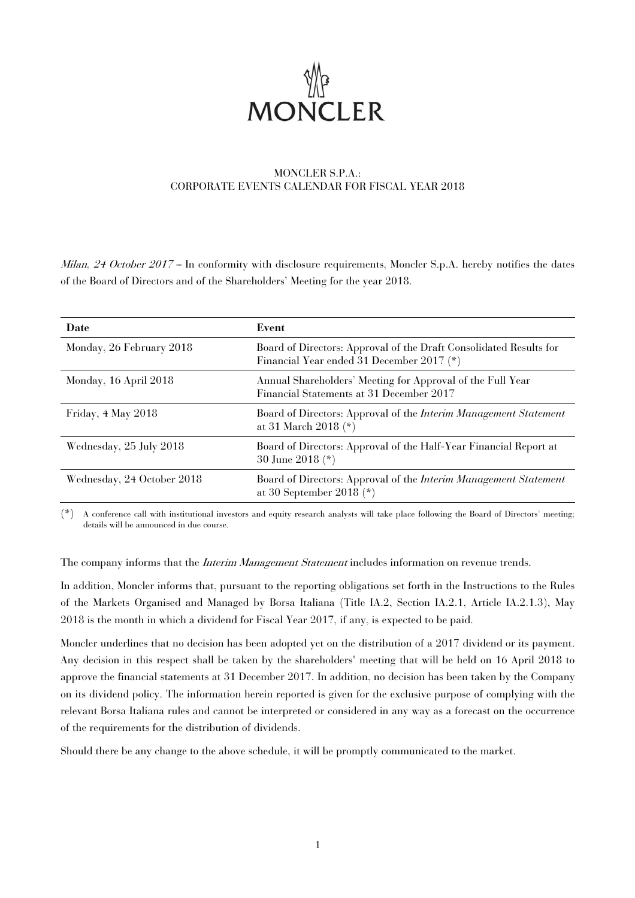

# MONCLER S.P.A.: CORPORATE EVENTS CALENDAR FOR FISCAL YEAR 2018

Milan, 24 October 2017 -- In conformity with disclosure requirements, Moncler S.p.A. hereby notifies the dates of the Board of Directors and of the Shareholders' Meeting for the year 2018.

| Date                       | Event                                                                                                           |
|----------------------------|-----------------------------------------------------------------------------------------------------------------|
| Monday, 26 February 2018   | Board of Directors: Approval of the Draft Consolidated Results for<br>Financial Year ended 31 December 2017 (*) |
| Monday, 16 April 2018      | Annual Shareholders' Meeting for Approval of the Full Year<br>Financial Statements at 31 December 2017          |
| Friday, 4 May 2018         | Board of Directors: Approval of the <i>Interim Management Statement</i><br>at 31 March 2018 $(*)$               |
| Wednesday, 25 July 2018    | Board of Directors: Approval of the Half-Year Financial Report at<br>30 June 2018 (*)                           |
| Wednesday, 24 October 2018 | Board of Directors: Approval of the <i>Interim Management Statement</i><br>at 30 September 2018 $(*)$           |

(\*) A conference call with institutional investors and equity research analysts will take place following the Board of Directors' meeting; details will be announced in due course.

The company informs that the *Interim Management Statement* includes information on revenue trends.

In addition, Moncler informs that, pursuant to the reporting obligations set forth in the Instructions to the Rules of the Markets Organised and Managed by Borsa Italiana (Title IA.2, Section IA.2.1, Article IA.2.1.3), May 2018 is the month in which a dividend for Fiscal Year 2017, if any, is expected to be paid.

Moncler underlines that no decision has been adopted yet on the distribution of a 2017 dividend or its payment. Any decision in this respect shall be taken by the shareholders' meeting that will be held on 16 April 2018 to approve the financial statements at 31 December 2017. In addition, no decision has been taken by the Company on its dividend policy. The information herein reported is given for the exclusive purpose of complying with the relevant Borsa Italiana rules and cannot be interpreted or considered in any way as a forecast on the occurrence of the requirements for the distribution of dividends.

Should there be any change to the above schedule, it will be promptly communicated to the market.